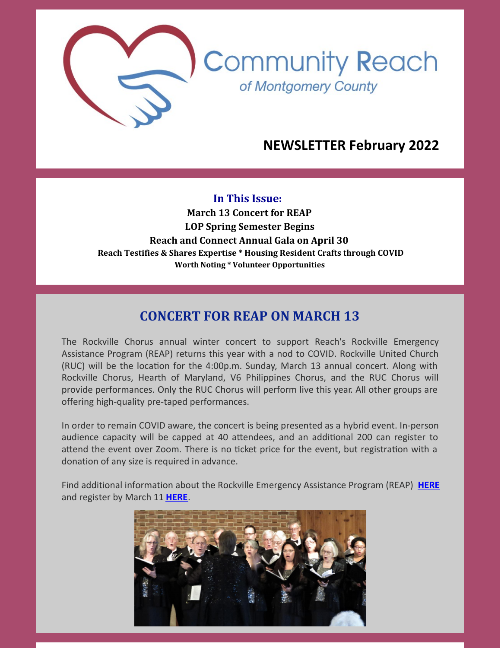

# **NEWSLETTER February 2022**

**In This Issue: March 13 Concert for REAP LOP Spring Semester Begins Reach and Connect Annual Gala on April 30 Reach Testifies & Shares Expertise \* Housing Resident Crafts through COVID Worth Noting \* Volunteer Opportunities**

# **CONCERT FOR REAP ON MARCH 13**

The Rockville Chorus annual winter concert to support Reach's Rockville Emergency Assistance Program (REAP) returns this year with a nod to COVID. Rockville United Church (RUC) will be the location for the 4:00p.m. Sunday, March 13 annual concert. Along with Rockville Chorus, Hearth of Maryland, V6 Philippines Chorus, and the RUC Chorus will provide performances. Only the RUC Chorus will perform live this year. All other groups are offering high-quality pre-taped performances.

In order to remain COVID aware, the concert is being presented as a hybrid event. In-person audience capacity will be capped at 40 attendees, and an additional 200 can register to attend the event over Zoom. There is no ticket price for the event, but registration with a donation of any size is required in advance.

Find additional information about the Rockville Emergency Assistance Program (REAP) **[HERE](https://www.cmrocks.org/reap)** and register by March 11 **[HERE](https://www.eventbrite.com/e/concert-to-benefit-rockville-emergency-assistant-program-reap-tickets-271306704657?aff=ebdssbdestsearch)**.

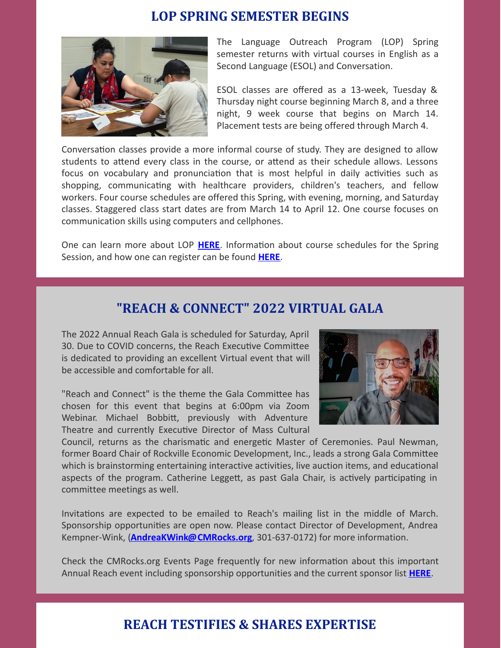#### **LOP SPRING SEMESTER BEGINS**



The Language Outreach Program (LOP) Spring semester returns with virtual courses in English as a Second Language (ESOL) and Conversation.

ESOL classes are offered as a 13-week, Tuesday & Thursday night course beginning March 8, and a three night, 9 week course that begins on March 14. Placement tests are being offered through March 4.

Conversation classes provide a more informal course of study. They are designed to allow students to attend every class in the course, or attend as their schedule allows. Lessons focus on vocabulary and pronunciation that is most helpful in daily activities such as shopping, communicating with healthcare providers, children's teachers, and fellow workers. Four course schedules are offered this Spring, with evening, morning, and Saturday classes. Staggered class start dates are from March 14 to April 12. One course focuses on communication skills using computers and cellphones.

One can learn more about LOP [HERE](https://www.cmrocks.org/lop). Information about course schedules for the Spring Session, and how one can register can be found **[HERE](https://www.cmrocks.org/_files/ugd/4c9ddf_3318b476aca4459ca7ab8bddc2928396.pdf)**.

#### **"REACH & CONNECT" 2022 VIRTUAL GALA**

The 2022 Annual Reach Gala is scheduled for Saturday, April 30. Due to COVID concerns, the Reach Executive Committee is dedicated to providing an excellent Virtual event that will be accessible and comfortable for all.

"Reach and Connect" is the theme the Gala Committee has chosen for this event that begins at 6:00pm via Zoom Webinar. Michael Bobbitt, previously with Adventure Theatre and currently Executive Director of Mass Cultural



Council, returns as the charismatic and energetic Master of Ceremonies. Paul Newman, former Board Chair of Rockville Economic Development, Inc., leads a strong Gala Committee which is brainstorming entertaining interactive activities, live auction items, and educational aspects of the program. Catherine Leggett, as past Gala Chair, is actively participating in committee meetings as well.

Invitations are expected to be emailed to Reach's mailing list in the middle of March. Sponsorship opportunities are open now. Please contact Director of Development, Andrea Kempner-Wink, (**[AndreaKWink@CMRocks.org](mailto:andreakwink@cmrocks.org)**, 301-637-0172) for more information.

Check the CMRocks.org Events Page frequently for new information about this important Annual Reach event including sponsorship opportunities and the current sponsor list **[HERE](https://www.cmrocks.org/events)**.

# **REACH TESTIFIES & SHARES EXPERTISE**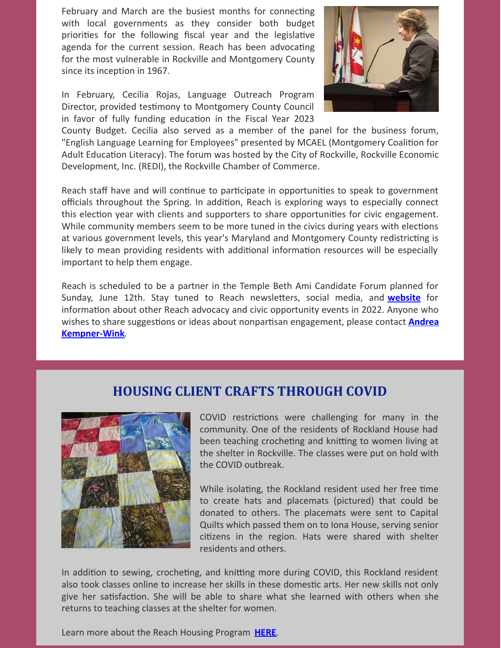February and March are the busiest months for connecting with local governments as they consider both budget priorities for the following fiscal year and the legislative agenda for the current session. Reach has been advocating for the most vulnerable in Rockville and Montgomery County since its inception in 1967.

In February, Cecilia Rojas, Language Outreach Program Director, provided testimony to Montgomery County Council in favor of fully funding education in the Fiscal Year 2023



County Budget. Cecilia also served as a member of the panel for the business forum, "English Language Learning for Employees" presented by MCAEL (Montgomery Coalition for Adult Education Literacy). The forum was hosted by the City of Rockville, Rockville Economic Development, Inc. (REDI), the Rockville Chamber of Commerce.

Reach staff have and will continue to participate in opportunities to speak to government officials throughout the Spring. In addition, Reach is exploring ways to especially connect this election year with clients and supporters to share opportunities for civic engagement. While community members seem to be more tuned in the civics during years with elections at various government levels, this year's Maryland and Montgomery County redistricting is likely to mean providing residents with additional information resources will be especially important to help them engage.

Reach is scheduled to be a partner in the Temple Beth Ami Candidate Forum planned for Sunday, June 12th. Stay tuned to Reach newsletters, social media, and **[website](https://www.cmrocks.org/)** for information about other Reach advocacy and civic opportunity events in 2022. Anyone who wishes to share suggestions or ideas about nonpartisan engagement, please contact **Andrea [Kempner-Wink](mailto:andreakwink@cmrocks.org)**.

#### **HOUSING CLIENT CRAFTS THROUGH COVID**



COVID restrictions were challenging for many in the community. One of the residents of Rockland House had been teaching crocheting and knitting to women living at the shelter in Rockville. The classes were put on hold with the COVID outbreak.

While isolating, the Rockland resident used her free time to create hats and placemats (pictured) that could be donated to others. The placemats were sent to Capital Quilts which passed them on to Iona House, serving senior citizens in the region. Hats were shared with shelter residents and others.

In addition to sewing, crocheting, and knitting more during COVID, this Rockland resident also took classes online to increase her skills in these domestic arts. Her new skills not only give her satisfaction. She will be able to share what she learned with others when she returns to teaching classes at the shelter for women.

Learn more about the Reach Housing Program **[HERE](https://www.cmrocks.org/housing-program)**.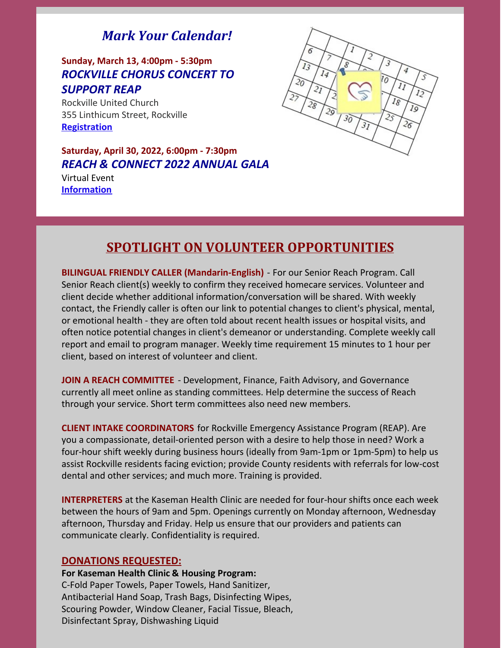# *Mark Your Calendar!*

#### **Sunday, March 13, 4:00pm - 5:30pm** *ROCKVILLE CHORUS CONCERT TO SUPPORT REAP*

Rockville United Church 355 Linthicum Street, Rockville **[Registration](https://www.eventbrite.com/e/concert-to-benefit-rockville-emergency-assistant-program-reap-tickets-271306704657?aff=ebdssbdestsearch)**

**Saturday, April 30, 2022, 6:00pm - 7:30pm** *REACH & CONNECT 2022 ANNUAL GALA*

Virtual Event **[Information](https://www.cmrocks.org/events)**



# **SPOTLIGHT ON VOLUNTEER OPPORTUNITIES**

**BILINGUAL FRIENDLY CALLER (Mandarin-English)** - For our Senior Reach Program. Call Senior Reach client(s) weekly to confirm they received homecare services. Volunteer and client decide whether additional information/conversation will be shared. With weekly contact, the Friendly caller is often our link to potential changes to client's physical, mental, or emotional health - they are often told about recent health issues or hospital visits, and often notice potential changes in client's demeanor or understanding. Complete weekly call report and email to program manager. Weekly time requirement 15 minutes to 1 hour per client, based on interest of volunteer and client.

**JOIN A REACH COMMITTEE** - Development, Finance, Faith Advisory, and Governance currently all meet online as standing committees. Help determine the success of Reach through your service. Short term committees also need new members.

**CLIENT INTAKE COORDINATORS** for Rockville Emergency Assistance Program (REAP). Are you a compassionate, detail-oriented person with a desire to help those in need? Work a four-hour shift weekly during business hours (ideally from 9am-1pm or 1pm-5pm) to help us assist Rockville residents facing eviction; provide County residents with referrals for low-cost dental and other services; and much more. Training is provided.

**INTERPRETERS** at the Kaseman Health Clinic are needed for four-hour shifts once each week between the hours of 9am and 5pm. Openings currently on Monday afternoon, Wednesday afternoon, Thursday and Friday. Help us ensure that our providers and patients can communicate clearly. Confidentiality is required.

#### **DONATIONS REQUESTED:**

**For Kaseman Health Clinic & Housing Program:** C-Fold Paper Towels, Paper Towels, Hand Sanitizer, Antibacterial Hand Soap, Trash Bags, Disinfecting Wipes, Scouring Powder, Window Cleaner, Facial Tissue, Bleach, Disinfectant Spray, Dishwashing Liquid